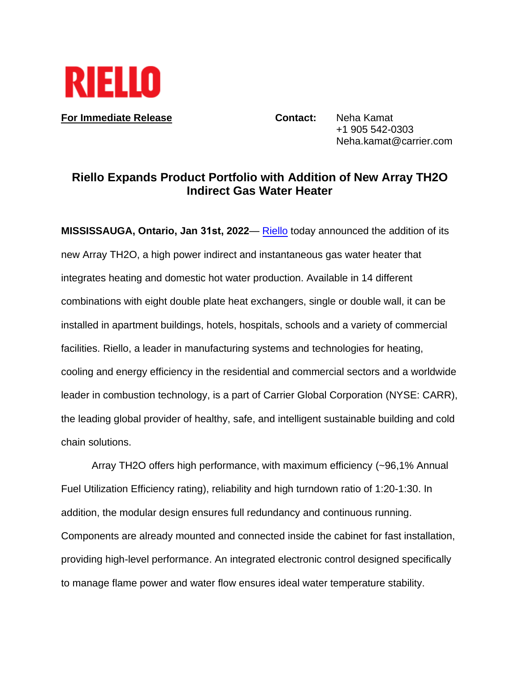

**For Immediate Release <b>Contact:** Neha Kamat

+1 905 542-0303 Neha.kamat@carrier.com

## **Riello Expands Product Portfolio with Addition of New Array TH2O Indirect Gas Water Heater**

**MISSISSAUGA, Ontario, Jan 31st, 2022**— [Riel](https://www.riello.com/north-america/)lo today announced the addition of its new Array TH2O, a high power indirect and instantaneous gas water heater that integrates heating and domestic hot water production. Available in 14 different combinations with eight double plate heat exchangers, single or double wall, it can be installed in apartment buildings, hotels, hospitals, schools and a variety of commercial facilities. Riello, a leader in manufacturing systems and technologies for heating, cooling and energy efficiency in the residential and commercial sectors and a worldwide leader in combustion technology, is a part of Carrier Global Corporation (NYSE: CARR), the leading global provider of healthy, safe, and intelligent sustainable building and cold chain solutions.

Array TH2O offers high performance, with maximum efficiency (~96,1% Annual Fuel Utilization Efficiency rating), reliability and high turndown ratio of 1:20-1:30. In addition, the modular design ensures full redundancy and continuous running. Components are already mounted and connected inside the cabinet for fast installation, providing high-level performance. An integrated electronic control designed specifically to manage flame power and water flow ensures ideal water temperature stability.